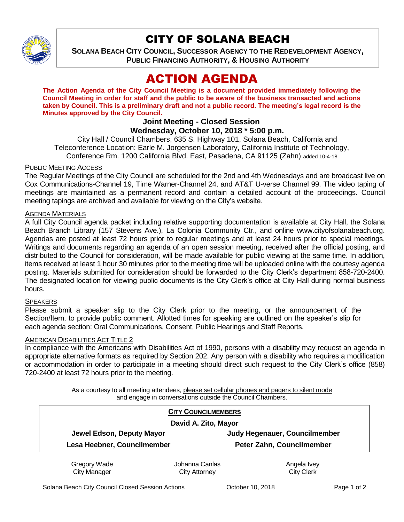

## CITY OF SOLANA BEACH

**SOLANA BEACH CITY COUNCIL, SUCCESSOR AGENCY TO THE REDEVELOPMENT AGENCY, PUBLIC FINANCING AUTHORITY, & HOUSING AUTHORITY**

# ACTION AGENDA

**The Action Agenda of the City Council Meeting is a document provided immediately following the Council Meeting in order for staff and the public to be aware of the business transacted and actions taken by Council. This is a preliminary draft and not a public record. The meeting's legal record is the Minutes approved by the City Council.**

## **Joint Meeting - Closed Session**

## **Wednesday, October 10, 2018 \* 5:00 p.m.**

City Hall / Council Chambers, 635 S. Highway 101, Solana Beach, California and Teleconference Location: Earle M. Jorgensen Laboratory, California Institute of Technology, Conference Rm. 1200 California Blvd. East, Pasadena, CA 91125 (Zahn) added 10-4-18

#### **PUBLIC MEETING ACCESS**

The Regular Meetings of the City Council are scheduled for the 2nd and 4th Wednesdays and are broadcast live on Cox Communications-Channel 19, Time Warner-Channel 24, and AT&T U-verse Channel 99. The video taping of meetings are maintained as a permanent record and contain a detailed account of the proceedings. Council meeting tapings are archived and available for viewing on the City's website.

#### AGENDA MATERIALS

A full City Council agenda packet including relative supporting documentation is available at City Hall, the Solana Beach Branch Library (157 Stevens Ave.), La Colonia Community Ctr., and online www.cityofsolanabeach.org. Agendas are posted at least 72 hours prior to regular meetings and at least 24 hours prior to special meetings. Writings and documents regarding an agenda of an open session meeting, received after the official posting, and distributed to the Council for consideration, will be made available for public viewing at the same time. In addition, items received at least 1 hour 30 minutes prior to the meeting time will be uploaded online with the courtesy agenda posting. Materials submitted for consideration should be forwarded to the City Clerk's department 858-720-2400. The designated location for viewing public documents is the City Clerk's office at City Hall during normal business hours.

#### **SPEAKERS**

Please submit a speaker slip to the City Clerk prior to the meeting, or the announcement of the Section/Item, to provide public comment. Allotted times for speaking are outlined on the speaker's slip for each agenda section: Oral Communications, Consent, Public Hearings and Staff Reports.

#### AMERICAN DISABILITIES ACT TITLE 2

In compliance with the Americans with Disabilities Act of 1990, persons with a disability may request an agenda in appropriate alternative formats as required by Section 202. Any person with a disability who requires a modification or accommodation in order to participate in a meeting should direct such request to the City Clerk's office (858) 720-2400 at least 72 hours prior to the meeting.

> As a courtesy to all meeting attendees, please set cellular phones and pagers to silent mode and engage in conversations outside the Council Chambers.

|                             | <b>CITY COUNCILMEMBERS</b> |                               |
|-----------------------------|----------------------------|-------------------------------|
| David A. Zito, Mayor        |                            |                               |
| Jewel Edson, Deputy Mayor   |                            | Judy Hegenauer, Councilmember |
| Lesa Heebner, Councilmember |                            | Peter Zahn, Councilmember     |
| Gregory Wade                | Johanna Canlas             | Angela Ivey                   |
| <b>City Manager</b>         | City Attorney              | <b>City Clerk</b>             |